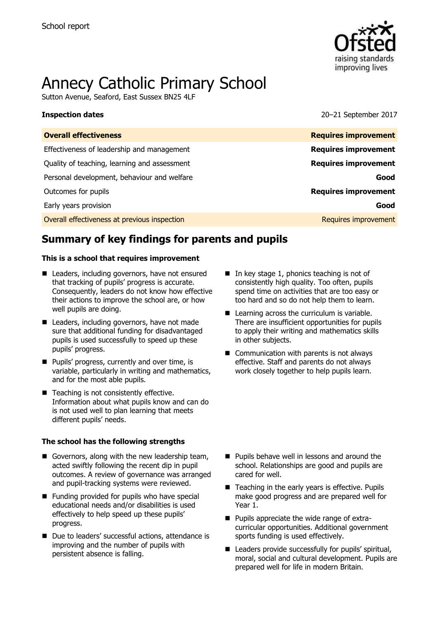

# Annecy Catholic Primary School

Sutton Avenue, Seaford, East Sussex BN25 4LF

**Inspection dates** 2017

| <b>Overall effectiveness</b>                 | <b>Requires improvement</b> |
|----------------------------------------------|-----------------------------|
| Effectiveness of leadership and management   | <b>Requires improvement</b> |
| Quality of teaching, learning and assessment | <b>Requires improvement</b> |
| Personal development, behaviour and welfare  | Good                        |
| Outcomes for pupils                          | <b>Requires improvement</b> |
| Early years provision                        | Good                        |
| Overall effectiveness at previous inspection | Requires improvement        |
|                                              |                             |

# **Summary of key findings for parents and pupils**

#### **This is a school that requires improvement**

- Leaders, including governors, have not ensured that tracking of pupils' progress is accurate. Consequently, leaders do not know how effective their actions to improve the school are, or how well pupils are doing.
- Leaders, including governors, have not made sure that additional funding for disadvantaged pupils is used successfully to speed up these pupils' progress.
- **Pupils' progress, currently and over time, is** variable, particularly in writing and mathematics, and for the most able pupils.
- Teaching is not consistently effective. Information about what pupils know and can do is not used well to plan learning that meets different pupils' needs.

#### **The school has the following strengths**

- Governors, along with the new leadership team, acted swiftly following the recent dip in pupil outcomes. A review of governance was arranged and pupil-tracking systems were reviewed.
- $\blacksquare$  Funding provided for pupils who have special educational needs and/or disabilities is used effectively to help speed up these pupils' progress.
- Due to leaders' successful actions, attendance is improving and the number of pupils with persistent absence is falling.
- $\blacksquare$  In key stage 1, phonics teaching is not of consistently high quality. Too often, pupils spend time on activities that are too easy or too hard and so do not help them to learn.
- Learning across the curriculum is variable. There are insufficient opportunities for pupils to apply their writing and mathematics skills in other subjects.
- Communication with parents is not always effective. Staff and parents do not always work closely together to help pupils learn.

- **Pupils behave well in lessons and around the** school. Relationships are good and pupils are cared for well.
- Teaching in the early years is effective. Pupils make good progress and are prepared well for Year 1.
- **Pupils appreciate the wide range of extra**curricular opportunities. Additional government sports funding is used effectively.
- Leaders provide successfully for pupils' spiritual, moral, social and cultural development. Pupils are prepared well for life in modern Britain.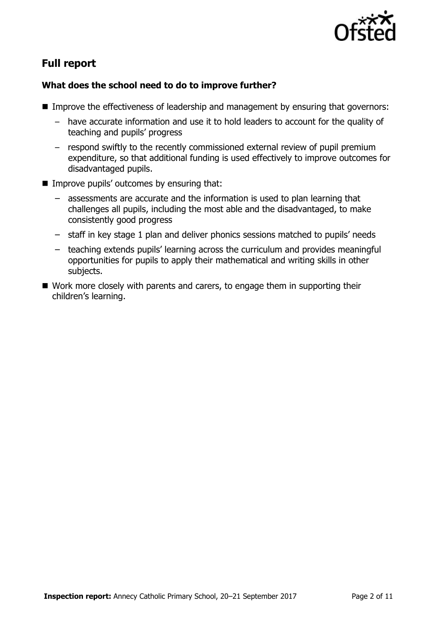

# **Full report**

### **What does the school need to do to improve further?**

- Improve the effectiveness of leadership and management by ensuring that governors:
	- have accurate information and use it to hold leaders to account for the quality of teaching and pupils' progress
	- respond swiftly to the recently commissioned external review of pupil premium expenditure, so that additional funding is used effectively to improve outcomes for disadvantaged pupils.
- $\blacksquare$  Improve pupils' outcomes by ensuring that:
	- assessments are accurate and the information is used to plan learning that challenges all pupils, including the most able and the disadvantaged, to make consistently good progress
	- staff in key stage 1 plan and deliver phonics sessions matched to pupils' needs
	- teaching extends pupils' learning across the curriculum and provides meaningful opportunities for pupils to apply their mathematical and writing skills in other subjects.
- Work more closely with parents and carers, to engage them in supporting their children's learning.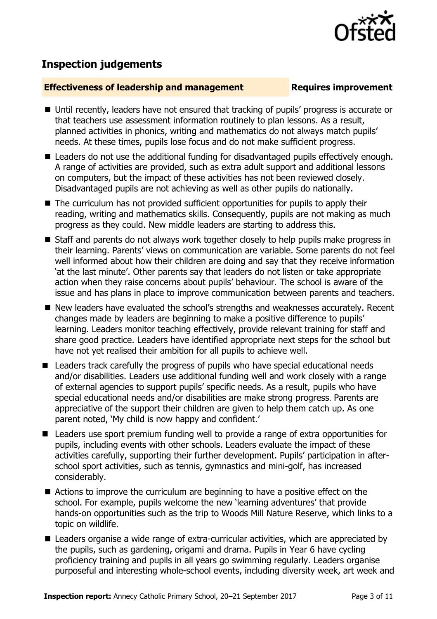

# **Inspection judgements**

#### **Effectiveness of leadership and management Requires improvement**

- Until recently, leaders have not ensured that tracking of pupils' progress is accurate or that teachers use assessment information routinely to plan lessons. As a result, planned activities in phonics, writing and mathematics do not always match pupils' needs. At these times, pupils lose focus and do not make sufficient progress.
- Leaders do not use the additional funding for disadvantaged pupils effectively enough. A range of activities are provided, such as extra adult support and additional lessons on computers, but the impact of these activities has not been reviewed closely. Disadvantaged pupils are not achieving as well as other pupils do nationally.
- The curriculum has not provided sufficient opportunities for pupils to apply their reading, writing and mathematics skills. Consequently, pupils are not making as much progress as they could. New middle leaders are starting to address this.
- Staff and parents do not always work together closely to help pupils make progress in their learning. Parents' views on communication are variable. Some parents do not feel well informed about how their children are doing and say that they receive information 'at the last minute'. Other parents say that leaders do not listen or take appropriate action when they raise concerns about pupils' behaviour. The school is aware of the issue and has plans in place to improve communication between parents and teachers.
- New leaders have evaluated the school's strengths and weaknesses accurately. Recent changes made by leaders are beginning to make a positive difference to pupils' learning. Leaders monitor teaching effectively, provide relevant training for staff and share good practice. Leaders have identified appropriate next steps for the school but have not yet realised their ambition for all pupils to achieve well.
- Leaders track carefully the progress of pupils who have special educational needs and/or disabilities. Leaders use additional funding well and work closely with a range of external agencies to support pupils' specific needs. As a result, pupils who have special educational needs and/or disabilities are make strong progress. Parents are appreciative of the support their children are given to help them catch up. As one parent noted, 'My child is now happy and confident.'
- Leaders use sport premium funding well to provide a range of extra opportunities for pupils, including events with other schools. Leaders evaluate the impact of these activities carefully, supporting their further development. Pupils' participation in afterschool sport activities, such as tennis, gymnastics and mini-golf, has increased considerably.
- Actions to improve the curriculum are beginning to have a positive effect on the school. For example, pupils welcome the new 'learning adventures' that provide hands-on opportunities such as the trip to Woods Mill Nature Reserve, which links to a topic on wildlife.
- Leaders organise a wide range of extra-curricular activities, which are appreciated by the pupils, such as gardening, origami and drama. Pupils in Year 6 have cycling proficiency training and pupils in all years go swimming regularly. Leaders organise purposeful and interesting whole-school events, including diversity week, art week and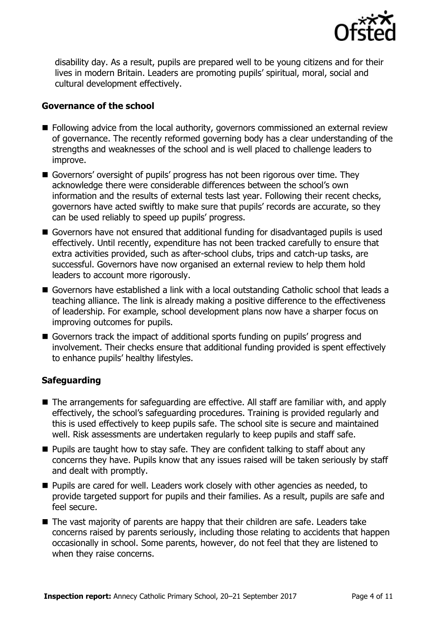

disability day. As a result, pupils are prepared well to be young citizens and for their lives in modern Britain. Leaders are promoting pupils' spiritual, moral, social and cultural development effectively.

#### **Governance of the school**

- **Following advice from the local authority, governors commissioned an external review** of governance. The recently reformed governing body has a clear understanding of the strengths and weaknesses of the school and is well placed to challenge leaders to improve.
- Governors' oversight of pupils' progress has not been rigorous over time. They acknowledge there were considerable differences between the school's own information and the results of external tests last year. Following their recent checks, governors have acted swiftly to make sure that pupils' records are accurate, so they can be used reliably to speed up pupils' progress.
- Governors have not ensured that additional funding for disadvantaged pupils is used effectively. Until recently, expenditure has not been tracked carefully to ensure that extra activities provided, such as after-school clubs, trips and catch-up tasks, are successful. Governors have now organised an external review to help them hold leaders to account more rigorously.
- Governors have established a link with a local outstanding Catholic school that leads a teaching alliance. The link is already making a positive difference to the effectiveness of leadership. For example, school development plans now have a sharper focus on improving outcomes for pupils.
- Governors track the impact of additional sports funding on pupils' progress and involvement. Their checks ensure that additional funding provided is spent effectively to enhance pupils' healthy lifestyles.

### **Safeguarding**

- The arrangements for safeguarding are effective. All staff are familiar with, and apply effectively, the school's safeguarding procedures. Training is provided regularly and this is used effectively to keep pupils safe. The school site is secure and maintained well. Risk assessments are undertaken regularly to keep pupils and staff safe.
- **Pupils are taught how to stay safe. They are confident talking to staff about any** concerns they have. Pupils know that any issues raised will be taken seriously by staff and dealt with promptly.
- **Pupils are cared for well. Leaders work closely with other agencies as needed, to** provide targeted support for pupils and their families. As a result, pupils are safe and feel secure.
- $\blacksquare$  The vast majority of parents are happy that their children are safe. Leaders take concerns raised by parents seriously, including those relating to accidents that happen occasionally in school. Some parents, however, do not feel that they are listened to when they raise concerns.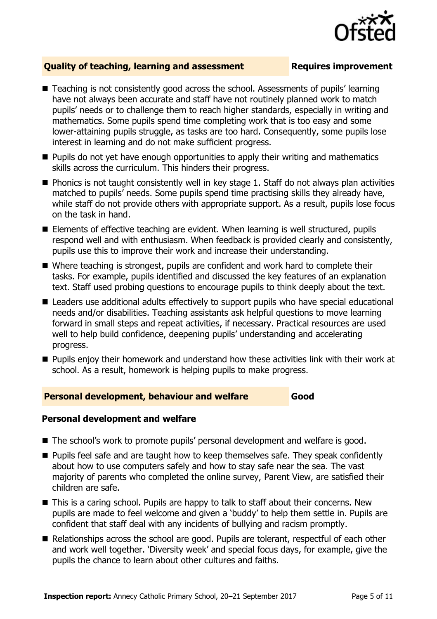

### **Quality of teaching, learning and assessment Requires improvement**

- Teaching is not consistently good across the school. Assessments of pupils' learning have not always been accurate and staff have not routinely planned work to match pupils' needs or to challenge them to reach higher standards, especially in writing and mathematics. Some pupils spend time completing work that is too easy and some lower-attaining pupils struggle, as tasks are too hard. Consequently, some pupils lose interest in learning and do not make sufficient progress.
- **Pupils do not yet have enough opportunities to apply their writing and mathematics** skills across the curriculum. This hinders their progress.
- $\blacksquare$  Phonics is not taught consistently well in key stage 1. Staff do not always plan activities matched to pupils' needs. Some pupils spend time practising skills they already have, while staff do not provide others with appropriate support. As a result, pupils lose focus on the task in hand.
- Elements of effective teaching are evident. When learning is well structured, pupils respond well and with enthusiasm. When feedback is provided clearly and consistently, pupils use this to improve their work and increase their understanding.
- Where teaching is strongest, pupils are confident and work hard to complete their tasks. For example, pupils identified and discussed the key features of an explanation text. Staff used probing questions to encourage pupils to think deeply about the text.
- Leaders use additional adults effectively to support pupils who have special educational needs and/or disabilities. Teaching assistants ask helpful questions to move learning forward in small steps and repeat activities, if necessary. Practical resources are used well to help build confidence, deepening pupils' understanding and accelerating progress.
- **Pupils enjoy their homework and understand how these activities link with their work at** school. As a result, homework is helping pupils to make progress.

#### **Personal development, behaviour and welfare Good**

#### **Personal development and welfare**

- The school's work to promote pupils' personal development and welfare is good.
- **Pupils feel safe and are taught how to keep themselves safe. They speak confidently** about how to use computers safely and how to stay safe near the sea. The vast majority of parents who completed the online survey, Parent View, are satisfied their children are safe.
- This is a caring school. Pupils are happy to talk to staff about their concerns. New pupils are made to feel welcome and given a 'buddy' to help them settle in. Pupils are confident that staff deal with any incidents of bullying and racism promptly.
- Relationships across the school are good. Pupils are tolerant, respectful of each other and work well together. 'Diversity week' and special focus days, for example, give the pupils the chance to learn about other cultures and faiths.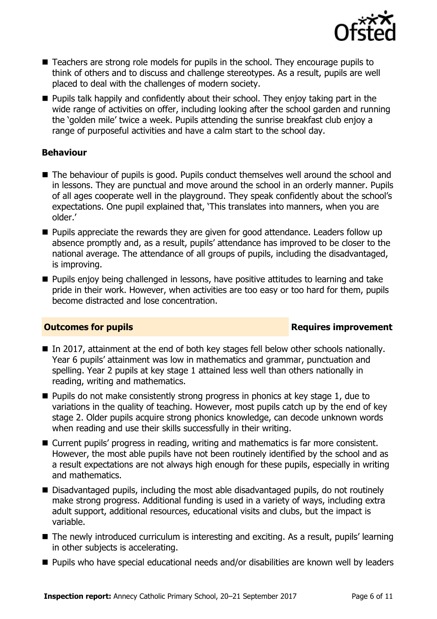

- Teachers are strong role models for pupils in the school. They encourage pupils to think of others and to discuss and challenge stereotypes. As a result, pupils are well placed to deal with the challenges of modern society.
- **Pupils talk happily and confidently about their school. They enjoy taking part in the** wide range of activities on offer, including looking after the school garden and running the 'golden mile' twice a week. Pupils attending the sunrise breakfast club enjoy a range of purposeful activities and have a calm start to the school day.

### **Behaviour**

- The behaviour of pupils is good. Pupils conduct themselves well around the school and in lessons. They are punctual and move around the school in an orderly manner. Pupils of all ages cooperate well in the playground. They speak confidently about the school's expectations. One pupil explained that, 'This translates into manners, when you are older.'
- **Pupils appreciate the rewards they are given for good attendance. Leaders follow up** absence promptly and, as a result, pupils' attendance has improved to be closer to the national average. The attendance of all groups of pupils, including the disadvantaged, is improving.
- **Pupils enjoy being challenged in lessons, have positive attitudes to learning and take** pride in their work. However, when activities are too easy or too hard for them, pupils become distracted and lose concentration.

### **Outcomes for pupils Requires improvement**

- In 2017, attainment at the end of both key stages fell below other schools nationally. Year 6 pupils' attainment was low in mathematics and grammar, punctuation and spelling. Year 2 pupils at key stage 1 attained less well than others nationally in reading, writing and mathematics.
- $\blacksquare$  Pupils do not make consistently strong progress in phonics at key stage 1, due to variations in the quality of teaching. However, most pupils catch up by the end of key stage 2. Older pupils acquire strong phonics knowledge, can decode unknown words when reading and use their skills successfully in their writing.
- Current pupils' progress in reading, writing and mathematics is far more consistent. However, the most able pupils have not been routinely identified by the school and as a result expectations are not always high enough for these pupils, especially in writing and mathematics.
- Disadvantaged pupils, including the most able disadvantaged pupils, do not routinely make strong progress. Additional funding is used in a variety of ways, including extra adult support, additional resources, educational visits and clubs, but the impact is variable.
- The newly introduced curriculum is interesting and exciting. As a result, pupils' learning in other subjects is accelerating.
- Pupils who have special educational needs and/or disabilities are known well by leaders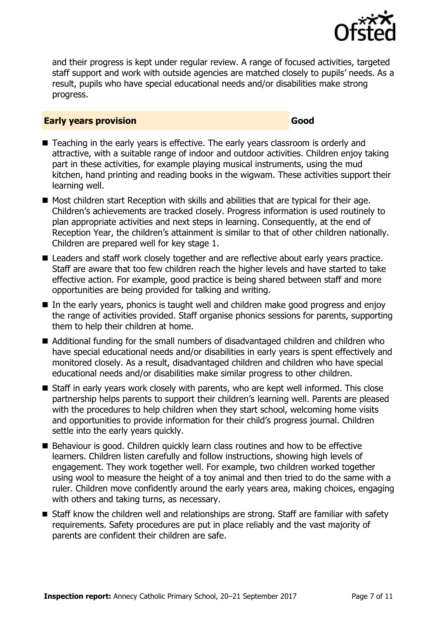

and their progress is kept under regular review. A range of focused activities, targeted staff support and work with outside agencies are matched closely to pupils' needs. As a result, pupils who have special educational needs and/or disabilities make strong progress.

#### **Early years provision Good Good**

- Teaching in the early years is effective. The early years classroom is orderly and attractive, with a suitable range of indoor and outdoor activities. Children enjoy taking part in these activities, for example playing musical instruments, using the mud kitchen, hand printing and reading books in the wigwam. These activities support their learning well.
- $\blacksquare$  Most children start Reception with skills and abilities that are typical for their age. Children's achievements are tracked closely. Progress information is used routinely to plan appropriate activities and next steps in learning. Consequently, at the end of Reception Year, the children's attainment is similar to that of other children nationally. Children are prepared well for key stage 1.
- Leaders and staff work closely together and are reflective about early vears practice. Staff are aware that too few children reach the higher levels and have started to take effective action. For example, good practice is being shared between staff and more opportunities are being provided for talking and writing.
- In the early years, phonics is taught well and children make good progress and enjoy the range of activities provided. Staff organise phonics sessions for parents, supporting them to help their children at home.
- Additional funding for the small numbers of disadvantaged children and children who have special educational needs and/or disabilities in early years is spent effectively and monitored closely. As a result, disadvantaged children and children who have special educational needs and/or disabilities make similar progress to other children.
- Staff in early years work closely with parents, who are kept well informed. This close partnership helps parents to support their children's learning well. Parents are pleased with the procedures to help children when they start school, welcoming home visits and opportunities to provide information for their child's progress journal. Children settle into the early years quickly.
- Behaviour is good. Children quickly learn class routines and how to be effective learners. Children listen carefully and follow instructions, showing high levels of engagement. They work together well. For example, two children worked together using wool to measure the height of a toy animal and then tried to do the same with a ruler. Children move confidently around the early years area, making choices, engaging with others and taking turns, as necessary.
- Staff know the children well and relationships are strong. Staff are familiar with safety requirements. Safety procedures are put in place reliably and the vast majority of parents are confident their children are safe.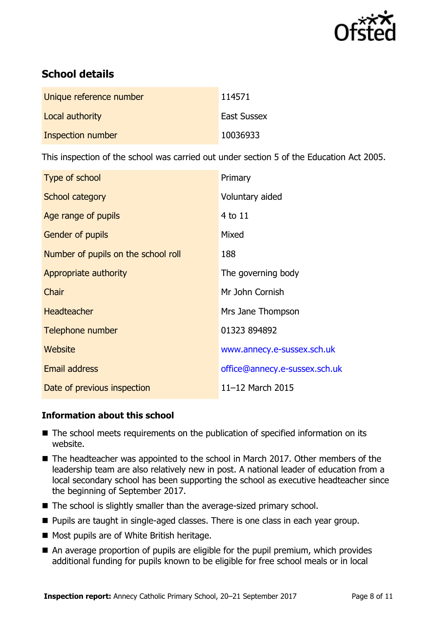

# **School details**

| Unique reference number | 114571             |
|-------------------------|--------------------|
| Local authority         | <b>East Sussex</b> |
| Inspection number       | 10036933           |

This inspection of the school was carried out under section 5 of the Education Act 2005.

| Type of school                      | Primary                       |
|-------------------------------------|-------------------------------|
| School category                     | Voluntary aided               |
| Age range of pupils                 | 4 to 11                       |
| Gender of pupils                    | Mixed                         |
| Number of pupils on the school roll | 188                           |
| Appropriate authority               | The governing body            |
| Chair                               | Mr John Cornish               |
| <b>Headteacher</b>                  | Mrs Jane Thompson             |
| Telephone number                    | 01323 894892                  |
| Website                             | www.annecy.e-sussex.sch.uk    |
| <b>Email address</b>                | office@annecy.e-sussex.sch.uk |
| Date of previous inspection         | 11-12 March 2015              |

### **Information about this school**

- The school meets requirements on the publication of specified information on its website.
- The headteacher was appointed to the school in March 2017. Other members of the leadership team are also relatively new in post. A national leader of education from a local secondary school has been supporting the school as executive headteacher since the beginning of September 2017.
- The school is slightly smaller than the average-sized primary school.
- **Pupils are taught in single-aged classes. There is one class in each year group.**
- Most pupils are of White British heritage.
- An average proportion of pupils are eligible for the pupil premium, which provides additional funding for pupils known to be eligible for free school meals or in local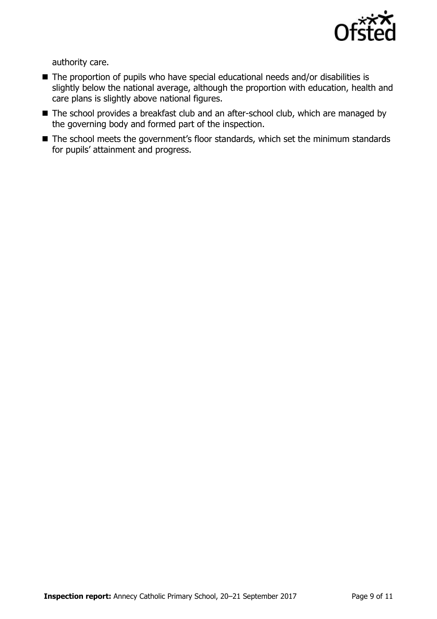

authority care.

- The proportion of pupils who have special educational needs and/or disabilities is slightly below the national average, although the proportion with education, health and care plans is slightly above national figures.
- The school provides a breakfast club and an after-school club, which are managed by the governing body and formed part of the inspection.
- The school meets the government's floor standards, which set the minimum standards for pupils' attainment and progress.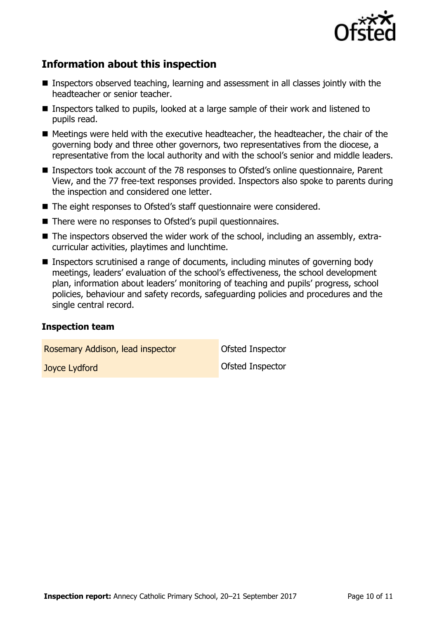

# **Information about this inspection**

- Inspectors observed teaching, learning and assessment in all classes jointly with the headteacher or senior teacher.
- Inspectors talked to pupils, looked at a large sample of their work and listened to pupils read.
- $\blacksquare$  Meetings were held with the executive headteacher, the headteacher, the chair of the governing body and three other governors, two representatives from the diocese, a representative from the local authority and with the school's senior and middle leaders.
- Inspectors took account of the 78 responses to Ofsted's online questionnaire, Parent View, and the 77 free-text responses provided. Inspectors also spoke to parents during the inspection and considered one letter.
- The eight responses to Ofsted's staff questionnaire were considered.
- There were no responses to Ofsted's pupil questionnaires.
- The inspectors observed the wider work of the school, including an assembly, extracurricular activities, playtimes and lunchtime.
- Inspectors scrutinised a range of documents, including minutes of governing body meetings, leaders' evaluation of the school's effectiveness, the school development plan, information about leaders' monitoring of teaching and pupils' progress, school policies, behaviour and safety records, safeguarding policies and procedures and the single central record.

#### **Inspection team**

Rosemary Addison, lead inspector **Conservation** Ofsted Inspector

**Joyce Lydford Community Community** Ofsted Inspector